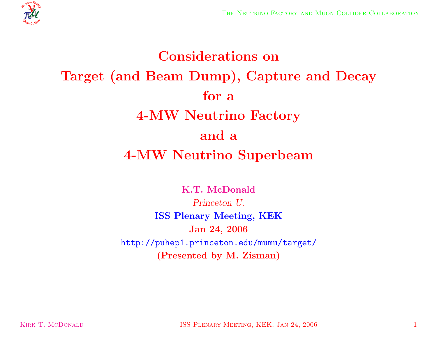

# **Considerations on Target (and Beam Dump), Capture and Decay for <sup>a</sup> 4-MW Neutrino Factory and <sup>a</sup> 4-MW Neutrino Superbeam**

**K.T. McDonald** *Princeton U.* **ISS Plenary Meeting, KEK Jan 24, 2006** http://puhep1.princeton.edu/mumu/target/ **(Presented by M. Zisman)**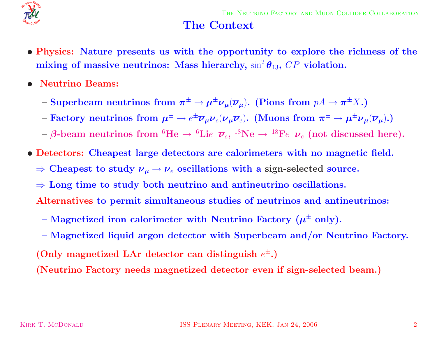

#### **The Context**

- Physics: Nature presents us with the opportunity to explore the richness of the  $\mathbf{mixing}$  of  $\mathbf{massive}\text{ }\mathbf{neutrinos:}\text{ Mass}$   $\mathbf{hierarchy,}\sin^2\theta_{13},\text{ }CP\text{ violation.}$
- *•* **Neutrino Beams:**
	- $-$  **Superbeam neutrinos from**  $\pi^{\pm} \to \mu^{\pm} \nu_{\mu} (\overline{\nu}_{\mu}).$  **(Pions from**  $pA \to \pi^{\pm} X.$ **)**
	- $-$  Factory neutrinos from  $\bm{\mu}^\pm \to e^\pm \overline{\bm{\nu}}_{\bm{\mu}} \bm{\nu}_e (\bm{\nu}_{\bm{\mu}} \overline{\bm{\nu}}_e)$ . (Muons from  $\bm{\pi}^\pm \to \bm{\mu}^\pm \bm{\nu}_{\bm{\mu}} (\overline{\bm{\nu}}_{\bm{\mu}})$ .)
	- $\rightarrow$   $\beta$ -beam neutrinos from  ${}^6\textrm{He} \rightarrow {}^6\textrm{Lie}^-\overline{\nu}_e,$   ${}^{18}\textrm{Ne} \rightarrow {}^{18}\textrm{Fe}^+\nu_e$  (not discussed here).
- *•* **Detectors: Cheapest large detectors are calorimeters with no magnetic field.**
	- $\Rightarrow$  Cheapest to study  $\nu_\mu \rightarrow \nu_e$  oscillations with a sign-selected source.
	- <sup>⇒</sup> **Long time to study both neutrino and antineutrino oscillations.**
	- **Alternatives to permit simultaneous studies of neutrinos and antineutrinos:**
	- $-$  **Magnetized iron calorimeter with Neutrino Factory**  $(\mu^{\pm}$  **only).**
	- **– Magnetized liquid argon detector with Superbeam and/or Neutrino Factory.**  $($  Only magnetized LAr detector can distinguish  $e^{\pm}$ . $)$

**(Neutrino Factory needs magnetized detector even if sign-selected beam.)**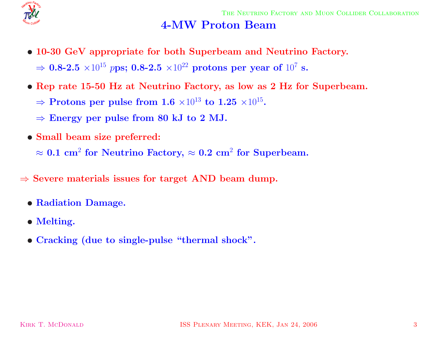

## **4-MW Proton Beam**

- *•* **10-30 GeV appropriate for both Superbeam and Neutrino Factory.**  $\Rightarrow$  **0.8-2.5**  $\times 10^{15}$   $p$ ps; **0.8-2.5**  $\times 10^{22}$  protons per year of  $10^{7}$  s.
- Rep rate 15-50 Hz at Neutrino Factory, as low as 2 Hz for Superbeam.
	- $\Rightarrow$  **Protons per pulse from 1.6**  $\times10^{13}$  to  $1.25$   $\times10^{15}$ .
	- $\Rightarrow$  **Energy** per pulse from 80 kJ to 2 MJ.
- *•* **Small beam size preferred:**

 $\approx 0.1 \text{ cm}^2 \text{ for Neutrino } \text{Factory, } \approx 0.2 \text{ cm}^2 \text{ for Superbeam.}$ 

- <sup>⇒</sup> **Severe materials issues for target AND beam dump.**
	- *•* **Radiation Damage.**
	- *•* **Melting.**
	- *•* **Cracking (due to single-pulse "thermal shock".**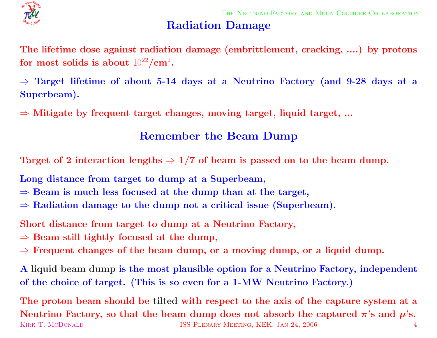

## **Radiation Damage**

The lifetime dose against radiation damage (embrittlement, cracking, ....) by protons  ${\bf f}$  **or**  ${\bf m}{\bf o}{\bf s}$   ${\bf t}$   ${\bf s}$   ${\bf a}{\bf b}{\bf o}{\bf u}{\bf t}$   $10^{22}/{\bf cm}^2$ .

 $\Rightarrow$  Target lifetime of about 5-14 days at a Neutrino Factory (and 9-28 days at a **Superbeam).**

<sup>⇒</sup> **Mitigate by frequent target changes, moving target, liquid target, ...**

## **Remember the Beam Dump**

Target of 2 interaction lengths  $\Rightarrow$  1/7 of beam is passed on to the beam dump.

**Long distance from target to dump at <sup>a</sup> Superbeam,**

- $\Rightarrow$  **Beam** is much less focused at the dump than at the target,
- <sup>⇒</sup> **Radiation damage to the dump not <sup>a</sup> critical issue (Superbeam).**

**Short distance from target to dump at <sup>a</sup> Neutrino Factory,**

- $\Rightarrow$  **Beam** still tightly focused at the dump,
- $\Rightarrow$  Frequent changes of the beam dump, or a moving dump, or a liquid dump.

A liquid beam dump is the most plausible option for a Neutrino Factory, independent of the choice of target. (This is so even for a 1-MW Neutrino Factory.)

The proton beam should be tilted with respect to the axis of the capture system at a Neutrino Factory, so that the beam dump does not absorb the captured  $\pi$ 's and  $\mu$ 's. KIRK T. MCDONALD **ISS PLENARY MEETING, KEK, JAN 24, 2006** 4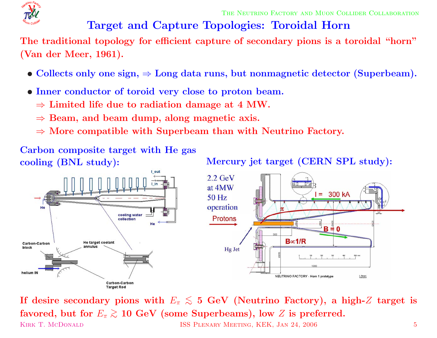

THE NEUTRINO FACTORY AND MUON COLLIDER COLLABORATION

# **Target and Capture Topologies: Toroidal Horn**

The traditional topology for efficient capture of secondary pions is a toroidal "horn" **(Van der Meer, 1961).**

- $\bullet$  Collects only one sign,  $\Rightarrow$  Long data runs, but nonmagnetic detector (Superbeam).
- *•* **Inner conductor of toroid very close to proton beam.**
	- $\Rightarrow$  **Limited** life due to radiation damage at 4 MW.
	- <sup>⇒</sup> **Beam, and beam dump, along magnetic axis.**
	- <sup>⇒</sup> **More compatible with Superbeam than with Neutrino Factory.**

**Carbon composite target with He gas**

**cooling** (BNL study): Mercury jet target (CERN SPL study):



If desire secondary pions with  $E_\pi \lesssim$  5 GeV (Neutrino Factory), a high-Z target is  ${\bf f}$  avored, but for  $E_\pi\gtrsim10\,{\, {\rm GeV}}$  (some Superbeams), low  $Z$  is preferred. KIRK T. MCDONALD **ISS PLENARY MEETING, KEK, JAN 24, 2006** 5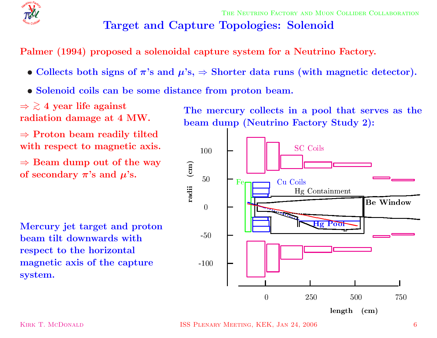

# **Target and Capture Topologies: Solenoid**

**Palmer (1994) proposed <sup>a</sup> solenoidal capture system for <sup>a</sup> Neutrino Factory.**

- Collects both signs of  $\pi$ 's and  $\mu$ 's,  $\Rightarrow$  Shorter data runs (with magnetic detector).
- *•* **Solenoid coils can be some distance from proton beam.**

⇒ > ∼ **4 year life against radiation damage at 4 MW.**

<sup>⇒</sup> **Proton beam readily tilted with respect to magnetic axis.**

 $\Rightarrow$  **Beam dump** out of the way  $\mathbf{p}$  **of** secondary  $\boldsymbol{\pi}$ 's and  $\boldsymbol{\mu}$ 's.

**Mercury jet target and proton beam tilt downwards with respect to the horizontal magnetic axis of the capture system.**

**The mercury collects in <sup>a</sup> pool that serves as the beam dump (Neutrino Factory Study 2):**



KIRK T. MCDONALD **ISS PLENARY MEETING, KEK, JAN 24, 2006** 6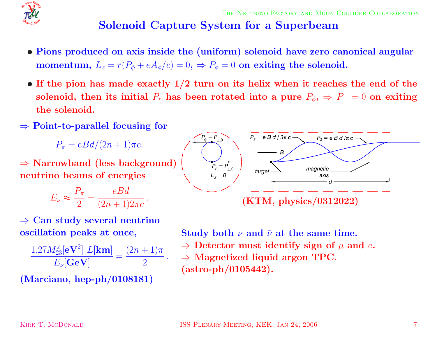

# **Solenoid Capture System for <sup>a</sup> Superbeam**

- Pions produced on axis inside the (uniform) solenoid have zero canonical angular  $\bf{momentum},\ L_z=r(P_\phi+eA_\phi/c)=0,\ \Rightarrow P_\phi=0\,\ {\bf on\,\, exiting\,\,the\,\,solenoid.}$
- If the pion has made exactly  $1/2$  turn on its helix when it reaches the end of the solenoid, then its initial  $P_r$  has been rotated into a pure  $P_\phi, \, \Rightarrow \, P_\bot = 0$  on exiting **the solenoid.**
- <sup>⇒</sup> **Point-to-parallel focusing for**

 $P_\pi=eBd/(2n+1)\pi c.$ 

<sup>⇒</sup> **Narrowband (less background) neutrino beams of energies**

$$
E_{\nu} \approx \frac{P_{\pi}}{2} = \frac{eBd}{(2n+1)2\pi c}.
$$



$$
\frac{1.27M_{23}^2[\mathbf{eV}^2] L[\mathbf{km}]}{E_{\nu}[\mathbf{GeV}]} = \frac{(2n+1)\pi}{2}.
$$

**(Marciano, hep-ph/0108181)**



 ${\bf Study\ both\ \ \nu\ and\ \ \bar\nu\ at\ the\ same\ time.}$  $\Rightarrow$  Detector must identify sign of  $\mu$  and  $e$ . <sup>⇒</sup> **Magnetized liquid argon TPC. (astro-ph/0105442).**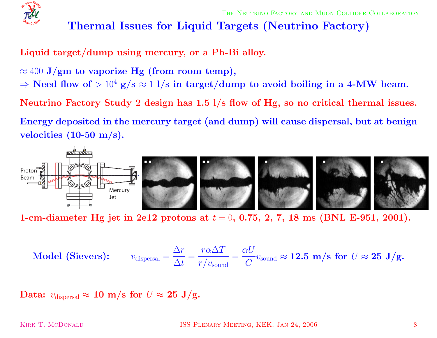

## **Thermal Issues for Liquid Targets (Neutrino Factory)**

**Liquid target/dump using mercury, or <sup>a</sup> Pb-Bi alloy.**

- $\approx 400$   $\mathrm{J}/\mathrm{gm}$  to vaporize  $\mathrm{Hg}$  (from room temp),
- $\Rightarrow$  Need flow of  $>10^4$  g/s  $\approx$  1 l/s in target/dump to avoid boiling in a 4-MW beam.

Neutrino Factory Study 2 design has  $1.5$   $1/s$  flow of Hg, so no critical thermal issues.

Energy deposited in the mercury target (and dump) will cause dispersal, but at benign **velocities (10-50 m/s).**



1-cm-diameter Hg jet in 2e12 protons at  $t = 0, \, 0.75, \, 2, \, 7, \, 18 \, \, \mathrm{ms}$  (BNL E-951, 2001).

$$
\textbf{Model (Sieves):} \qquad v_{\text{dispersal}} = \frac{\Delta r}{\Delta t} = \frac{r\alpha\Delta T}{r/v_{\text{sound}}} = \frac{\alpha U}{C} v_{\text{sound}} \approx 12.5 \, \text{m/s for } U \approx 25 \, \text{J/g.}
$$

 $\mathbf{Data:}~~v_{\text{dispersal}} \approx \mathbf{10}~\mathbf{m/s}~\mathbf{for}~U \approx \mathbf{25}~\mathbf{J/g}.$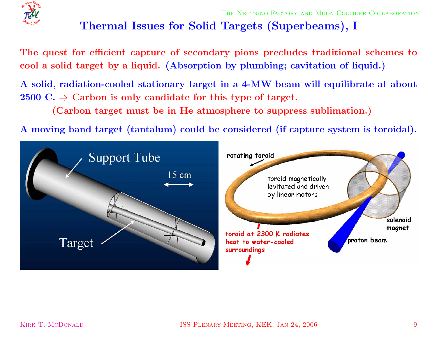

# **Thermal Issues for Solid Targets (Superbeams), <sup>I</sup>**

The quest for efficient capture of secondary pions precludes traditional schemes to cool a solid target by a liquid. (Absorption by plumbing; cavitation of liquid.)

A solid, radiation-cooled stationary target in a 4-MW beam will equilibrate at about  $2500 \text{ C.} \Rightarrow \text{ Carbon is only candidate for this type of target.}$ 

**(Carbon target must be in He atmosphere to suppress sublimation.)**

A moving band target (tantalum) could be considered (if capture system is toroidal).

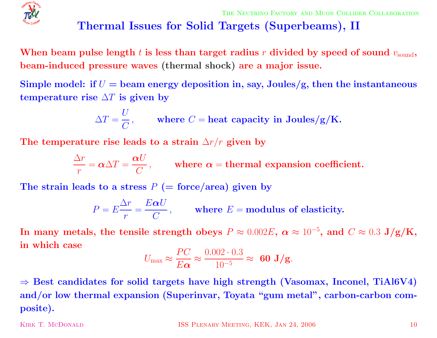

## **Thermal Issues for Solid Targets (Superbeams), II**

When beam pulse length  $t$  is less than target radius  $r$  divided by speed of sound  $v_{\rm sound},$ **beam-induced pressure waves (thermal shock) are <sup>a</sup> major issue.**

Simple model: if  $U=$  beam energy deposition in, say, Joules/g, then the instantaneous  ${\bf t}$  **emperature**  ${\bf r}$  **ise**  $\Delta T$  **is given by** 

$$
\Delta T = \frac{U}{C}, \quad \text{where } C = \text{heat capacity in Joules/g/K.}
$$

The <code>temperature</code> rise leads to a strain  $\Delta r/r$  given by

$$
\frac{\Delta r}{r} = \alpha \Delta T = \frac{\alpha U}{C},
$$
 where  $\alpha$  = thermal expansion coefficient.

 $\bf{The \ strain \ leads \ to \ a \ stress \ } P \ (= \rm force/area) \ given \ by$ 

$$
P = E \frac{\Delta r}{r} = \frac{E \alpha U}{C},
$$
 where  $E$  = modulus of elasticity.

 ${\bf In\ many\ metals,\ the\ tensile\ strength\ obeys\ } P \approx 0.002E,\ \alpha \approx 10^{-5},\ {\bf and}\ \ C \approx 0.3\ {\bf J/g/K,}$ **in which case**

$$
U_{\text{max}} \approx \frac{PC}{E\alpha} \approx \frac{0.002 \cdot 0.3}{10^{-5}} \approx 60 \text{ J/g}.
$$

 $\Rightarrow$  Best candidates for solid targets have high strength (Vasomax, Inconel, TiAl6V4) **and/or low thermal expansion (Superinvar, Toyata "gum metal", carbon-carbon composite).**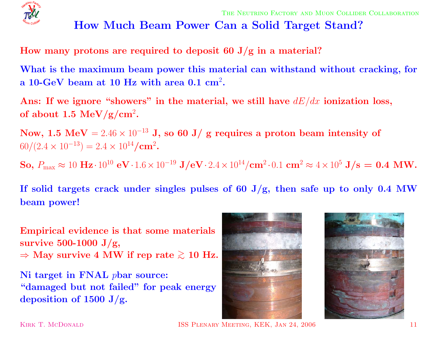

## **How Much Beam Power Can <sup>a</sup> Solid Target Stand?**

**How many protons are required to deposit <sup>60</sup> J/g in <sup>a</sup> material?**

What is the maximum beam power this material can withstand without cracking, for **<sup>a</sup> 10-GeV beam at 10 Hz with area 0.1 cm** 2**.**

Ans: If we ignore "showers" in the material, we still have  $dE/dx$  ionization loss,  ${\bf of~about~1.5~MeV/g/cm^2}.$ 

 ${\bf Now,\ 1.5\,\ MeV} = 2.46\times 10^{-13}$  J, so  $60$  J/ g requires a proton beam intensity of  $60/(2.4 \times 10^{-13}) = 2.4 \times 10^{14}/\text{cm}^2$ .

 ${\bf So,\ P_{\max}\approx10\ {\bf Hz}\cdot10^{10}\ {\bf eV}\cdot1.6\times10^{-19}\ {\bf J/eV}\cdot2.4\times10^{14}/{\bf cm}^2\cdot0.1\ {\bf cm}^2\approx4\times10^5\ {\bf J/s}=\ {\bf 0.4\ MW}.$ 

If solid targets crack under singles pulses of 60 J/g, then safe up to only 0.4 MW **beam power!**

**Empirical evidence is that some materials survive 500-1000 J/g,**  $\Rightarrow$  May survive 4 MW if rep rate  $\gtrsim 10$  Hz.

**Ni target in FNAL** p**bar source: "damaged but not failed" for peak energy deposition of <sup>1500</sup> J/g.**





KIRK T. MCDONALD **ISS PLENARY MEETING, KEK, JAN 24, 2006** 11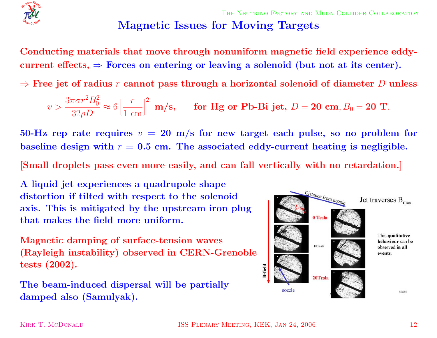

THE NEUTRINO FACTORY AND MUON COLLIDER COLLABORATION **Magnetic Issues for Moving Targets**

**Conducting materials that move through nonuniform magnetic field experience eddy-** $\text{current effects,} \Rightarrow \text{Forces on entering or leaving a solenoid (but not at its center).}$ 

 $\Rightarrow$  Free jet of radius  $r$  cannot pass through a horizontal solenoid of diameter  $D$  unless

$$
v > \frac{3\pi\sigma r^2B_0^2}{32\rho D} \approx 6\left[\frac{r}{1 \text{ cm}}\right]^2 \text{ m/s}, \quad \text{for Hg or Pb-Bi jet, } D = 20 \text{ cm}, B_0 = 20 \text{ T}.
$$

 $50\text{-}\mathrm{Hz}$  rep rate requires  $v\,=\,20\,$  m/s for new target each pulse, so no problem for baseline design with  $r = 0.5$  cm. The associated eddy-current heating is negligible.

[Small droplets pass even more easily, and can fall vertically with no retardation.]

**A liquid jet experiences <sup>a</sup> quadrupole shape distortion if tilted with respect to the solenoid axis. This is mitigated by the upstream iron plug that makes the field more uniform.**

**Magnetic damping of surface-tension waves (Rayleigh instability) observed in CERN-Grenoble tests (2002).**

**The beam-induced dispersal will be partially damped also (Samulyak).**

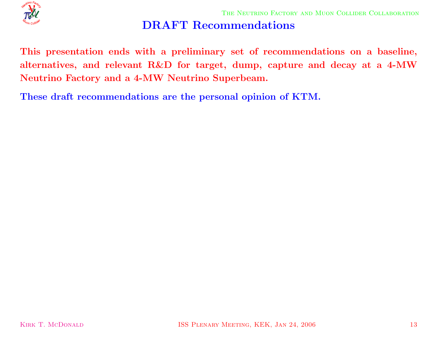

## **DRAFT Recommendations**

This presentation ends with a preliminary set of recommendations on a baseline, alternatives, and relevant R&D for target, dump, capture and decay at a 4-MW **Neutrino Factory and <sup>a</sup> 4-MW Neutrino Superbeam.**

**These draft recommendations are the personal opinion of KTM.**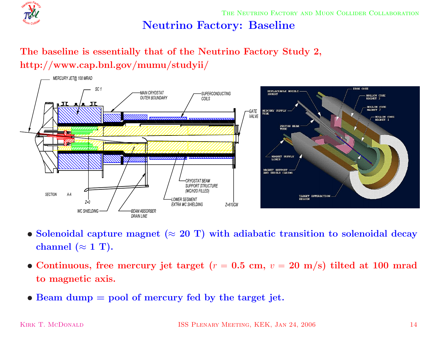

THE NEUTRINO FACTORY AND MUON COLLIDER COLLABORATION

## **Neutrino Factory: Baseline**

## **The baseline is essentially that of the Neutrino Factory Study 2, http://www.cap.bnl.gov/mumu/studyii/**



- $\bullet$  Solenoidal capture magnet ( $\approx 20$  T) with adiabatic transition to solenoidal decay  $\bf{channel}\ (\approx 1\ T).$
- Continuous, free mercury jet target ( $r = 0.5$  cm,  $v = 20$  m/s) tilted at 100 mrad **to magnetic axis.**
- *•* **Beam dump <sup>=</sup> pool of mercury fed by the target jet.**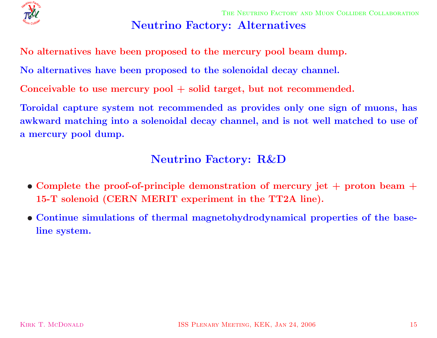

#### **Neutrino Factory: Alternatives**

**No alternatives have been proposed to the mercury pool beam dump.**

**No alternatives have been proposed to the solenoidal decay channel.**

**Conceivable to use mercury pool + solid target, but not recommended.**

Toroidal capture system not recommended as provides only one sign of muons, has awkward matching into a solenoidal decay channel, and is not well matched to use of **<sup>a</sup> mercury pool dump.**

#### **Neutrino Factory: R&D**

- Complete the proof-of-principle demonstration of mercury jet  $+$  proton beam  $+$ **15-T solenoid (CERN MERIT experiment in the TT2A line).**
- *•* **Continue simulations of thermal magnetohydrodynamical properties of the baseline system.**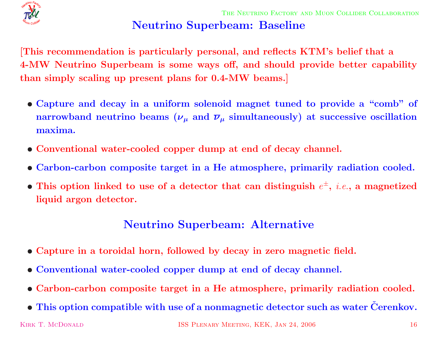

# **Neutrino Superbeam: Baseline**

This recommendation is particularly personal, and reflects KTM's belief that a 4-MW Neutrino Superbeam is some ways off, and should provide better capability **than simply scaling up present <sup>p</sup>lans for 0.4-MW beams.]**

- Capture and decay in a uniform solenoid magnet tuned to provide a "comb" of  ${\bf p}$   ${\bf p}$   ${\bf p}$   ${\bf p}$   ${\bf p}$   ${\bf p}$   ${\bf p}$   ${\bf p}$   ${\bf p}$   ${\bf p}$   ${\bf p}$   ${\bf p}$   ${\bf p}$   ${\bf p}$   ${\bf p}$   ${\bf p}$   ${\bf p}$   ${\bf p}$   ${\bf p}$   ${\bf p}$   ${\bf p}$   ${\bf p}$   ${\bf p}$   ${\bf p}$   ${\bf p}$   ${\bf p}$   ${\bf p}$   ${\bf p}$   ${\bf p}$   ${\bf p}$   ${\bf p}$   ${\bf p$ **maxima.**
- *•* **Conventional water-cooled copper dump at end of decay channel.**
- Carbon-carbon composite target in a He atmosphere, primarily radiation cooled.
- This option linked to use of a detector that can distinguish  $e^{\pm}$ , *i.e.*, a magnetized **liquid argon detector.**

## **Neutrino Superbeam: Alternative**

- Capture in a toroidal horn, followed by decay in zero magnetic field.
- *•* **Conventional water-cooled copper dump at end of decay channel.**
- Carbon-carbon composite target in a He atmosphere, primarily radiation cooled.
- $\bullet$  This option compatible with use of a nonmagnetic detector such as water Čerenkov.